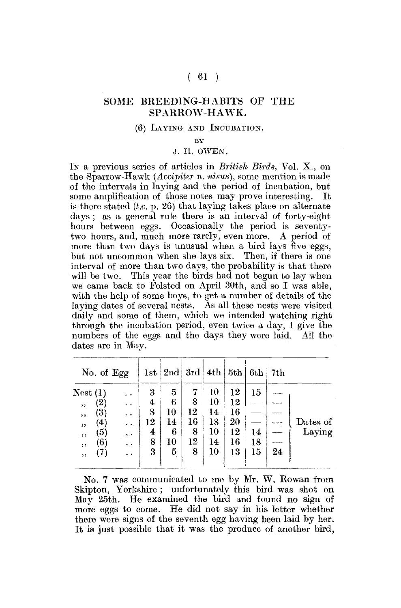## $(61)$

## SOME BREEDING-HABITS OF THE SPARROW-HAWK.

## (6) LAYING AND INCUBATION.

BY

## J. H. OWEN.

IN a previous series of articles in *British Birds,* Vol. X., on the Sparrow-Hawk *(Accipiter n. nisus),* some mention is made of the intervals in laying and the period of incubation, but some amplification of those notes may prove interesting. It is there stated *(t.c.* p. 26) that laying takes place on alternate days ; as a general rule there is an interval of forty-eight hours between eggs. Occasionally the period is seventytwo hours, and, much more rarely, even more. A period of more than two days is unusual when a bird lays five eggs, but not uncommon when she lays six. Then, if there is one interval of more than two days, the probability is that there will be two. This year the birds had not begun to lay when we came back to Felsted on April 30th, and so I was able, with the help of some boys, to get a number of details of the laying dates of several nests. As all these nests were visited daily and some of them, which we intended watching right through the incubation period, even twice a day, I give the numbers of the eggs and the days they were laid. All the dates are in May.

| No. of Egg |                   |                       | 1st                     | 2nd | 3rd | 4th    | 5th | 6th | 7th |          |
|------------|-------------------|-----------------------|-------------------------|-----|-----|--------|-----|-----|-----|----------|
| Nest(1)    |                   | $\cdot$ $\cdot$       | 3                       | 5   | 7   | $10\,$ | 12  | 15  |     |          |
| ,,         | '2)               | . .                   | $\overline{\mathbf{4}}$ | 6   | 8   | 10     | 12  |     |     |          |
| , ,        | (3)               | $\ddot{\phantom{1}}$  | 8                       | 10  | 12  | 14     | 16  |     |     |          |
| ,,         | $\left( 4\right)$ | $\bullet$ $\bullet$ . | 12                      | 14  | 16  | 18     | 20  |     |     | Dates of |
| , ,        | $\left( 5\right)$ | $\ddot{\phantom{1}}$  | 4                       | 6   | 8   | 10     | 12  | 14  |     | Laving   |
| ,,         | (6)               | . .                   | 8                       | 10  | 12  | 14     | 16  | 18  |     |          |
| ,,         | (7)               | $\ddot{\phantom{1}}$  | 3                       | 5   | 8   | 10     | 13  | 15  | 24  |          |
|            |                   |                       |                         |     |     |        |     |     |     |          |

No. 7 was communicated to me by Mr. W. Rowan from Skipton, Yorkshire ; unfortunately this bird was shot on May 25th. He examined the bird and found no sign of more eggs to come. He did not say in his letter whether there were signs of the seventh egg having been laid by her. It is just possible that it was the produce of another bird,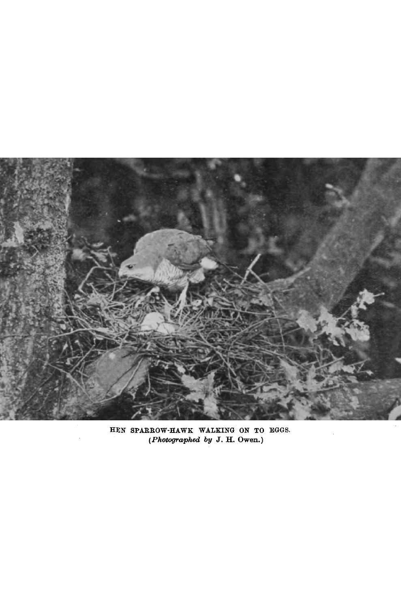

**HEN SPARKOW-HAWK WALKING ON TO EGGS.**  *(Photographed by* **J. H. Owen.)**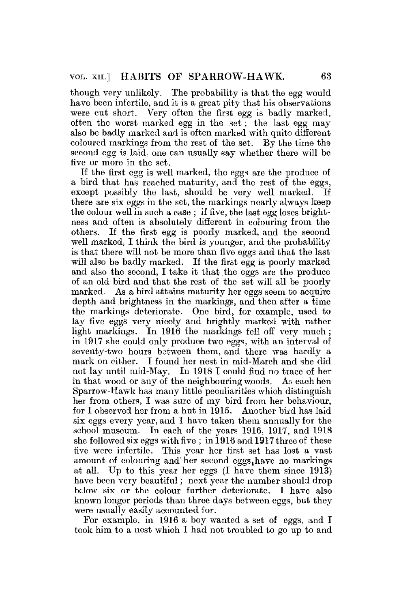though very unlikely. The probability is that the egg would have been infertile, and it is a great pity that his observations were cut short. Very often the first egg is badly marked, often the worst marked egg in the set; the last egg may also be badly marked and is often marked with quite different coloured markings from the rest of the set. By the time the second egg is laid, one can usually say whether there will be five or more in the set.

If the first egg is well marked, the eggs are the produce of a bird that has reached maturity, and the rest of the eggs, except possibly the last, should be very well marked. If there are six eggs in the set, the markings nearly always keep the colour well in such a case ; if five, the last egg loses brightness and often is absolutely different in colouring from the others. If the first egg is poorly marked, and the second well marked, I think the bird is younger, and the probability is that there will not be more than five eggs and that the last will also be badly marked. If the first egg is poorly marked and also the second, I take it that the eggs are the produce of an old bird and that the rest of the set will all be poorly marked. As a bird attains maturity her eggs seem to acquire depth and brightness in the markings, and then after a time the markings deteriorate. One bird, for example, used to lay five eggs very nicely and brightly marked with rather light markings. In 1916 the markings fell off very much ; in 1917 she could only produce two eggs, with an interval of seventy-two hours bstween them, and there was hardly a mark on either. I found her nest in mid-March and she did not lay until mid-May. In 1918 I could find no trace of her in that wood or any of the neighbouring woods. As each hen Sparrow-Hawk has many little peculiarities which distinguish hex from others, I was sure of my bird from her behaviour, for I observed her from a hut in 1915. Another bird has laid six eggs every year, and I have taken them annually for the school museum. In each of the years 1916, 1917, and 1918 she followed six eggs with five ; in 1916 and 1917 three of these five were infertile. This year her first set has lost a vast amount of colouring and her second eggs, have no markings at all. Up to this year her eggs (I have them since 1913) have been very beautiful; next year the number should drop below six or the colour further deteriorate. I have also betow six of the colour further deteriorate. I have also<br>become longer periods than three days between eggs, but they were usually easily accounted for.

For example, in 1916 a boy wanted a set of eggs, and I took him to a nest which I had not troubled to go up to and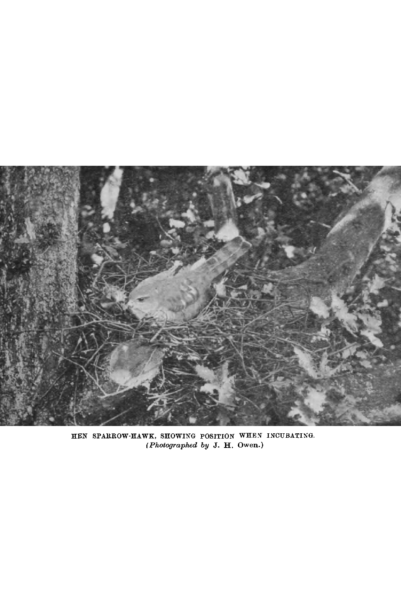

HEN SPARROW-HAWK, SHOWING POSITION WHEN INCUBATING. *(Photographed by* J. H. Owen.)